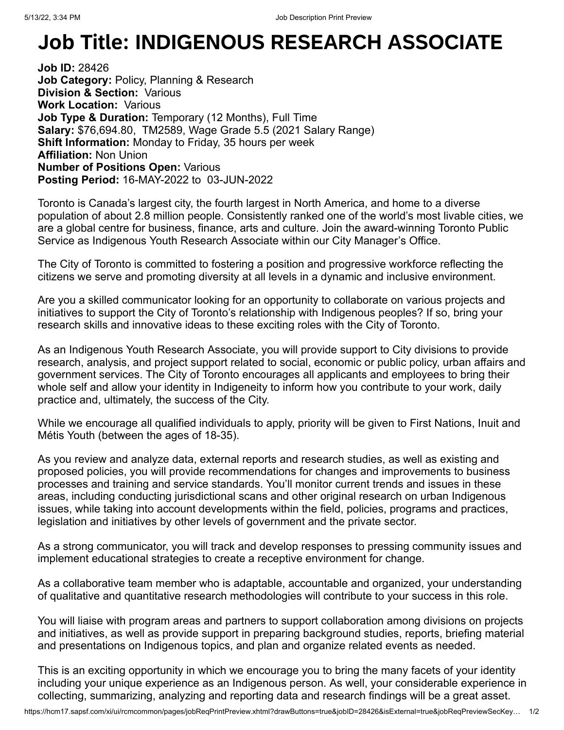## **Job Title: INDIGENOUS RESEARCH ASSOCIATE**

**Job ID:** 28426 **Job Category: Policy, Planning & Research Division & Section:** Various **Work Location:** Various **Job Type & Duration:** Temporary (12 Months), Full Time **Salary:** \$76,694.80, TM2589, Wage Grade 5.5 (2021 Salary Range) **Shift Information:** Monday to Friday, 35 hours per week **Affiliation:** Non Union **Number of Positions Open:** Various **Posting Period:** 16-MAY-2022 to 03-JUN-2022

Toronto is Canada's largest city, the fourth largest in North America, and home to a diverse population of about 2.8 million people. Consistently ranked one of the world's most livable cities, we are a global centre for business, finance, arts and culture. Join the award-winning Toronto Public Service as Indigenous Youth Research Associate within our City Manager's Office.

The City of Toronto is committed to fostering a position and progressive workforce reflecting the citizens we serve and promoting diversity at all levels in a dynamic and inclusive environment.

Are you a skilled communicator looking for an opportunity to collaborate on various projects and initiatives to support the City of Toronto's relationship with Indigenous peoples? If so, bring your research skills and innovative ideas to these exciting roles with the City of Toronto.

As an Indigenous Youth Research Associate, you will provide support to City divisions to provide research, analysis, and project support related to social, economic or public policy, urban affairs and government services. The City of Toronto encourages all applicants and employees to bring their whole self and allow your identity in Indigeneity to inform how you contribute to your work, daily practice and, ultimately, the success of the City.

While we encourage all qualified individuals to apply, priority will be given to First Nations, Inuit and Métis Youth (between the ages of 18-35).

As you review and analyze data, external reports and research studies, as well as existing and proposed policies, you will provide recommendations for changes and improvements to business processes and training and service standards. You'll monitor current trends and issues in these areas, including conducting jurisdictional scans and other original research on urban Indigenous issues, while taking into account developments within the field, policies, programs and practices, legislation and initiatives by other levels of government and the private sector.

As a strong communicator, you will track and develop responses to pressing community issues and implement educational strategies to create a receptive environment for change.

As a collaborative team member who is adaptable, accountable and organized, your understanding of qualitative and quantitative research methodologies will contribute to your success in this role.

You will liaise with program areas and partners to support collaboration among divisions on projects and initiatives, as well as provide support in preparing background studies, reports, briefing material and presentations on Indigenous topics, and plan and organize related events as needed.

This is an exciting opportunity in which we encourage you to bring the many facets of your identity including your unique experience as an Indigenous person. As well, your considerable experience in collecting, summarizing, analyzing and reporting data and research findings will be a great asset.